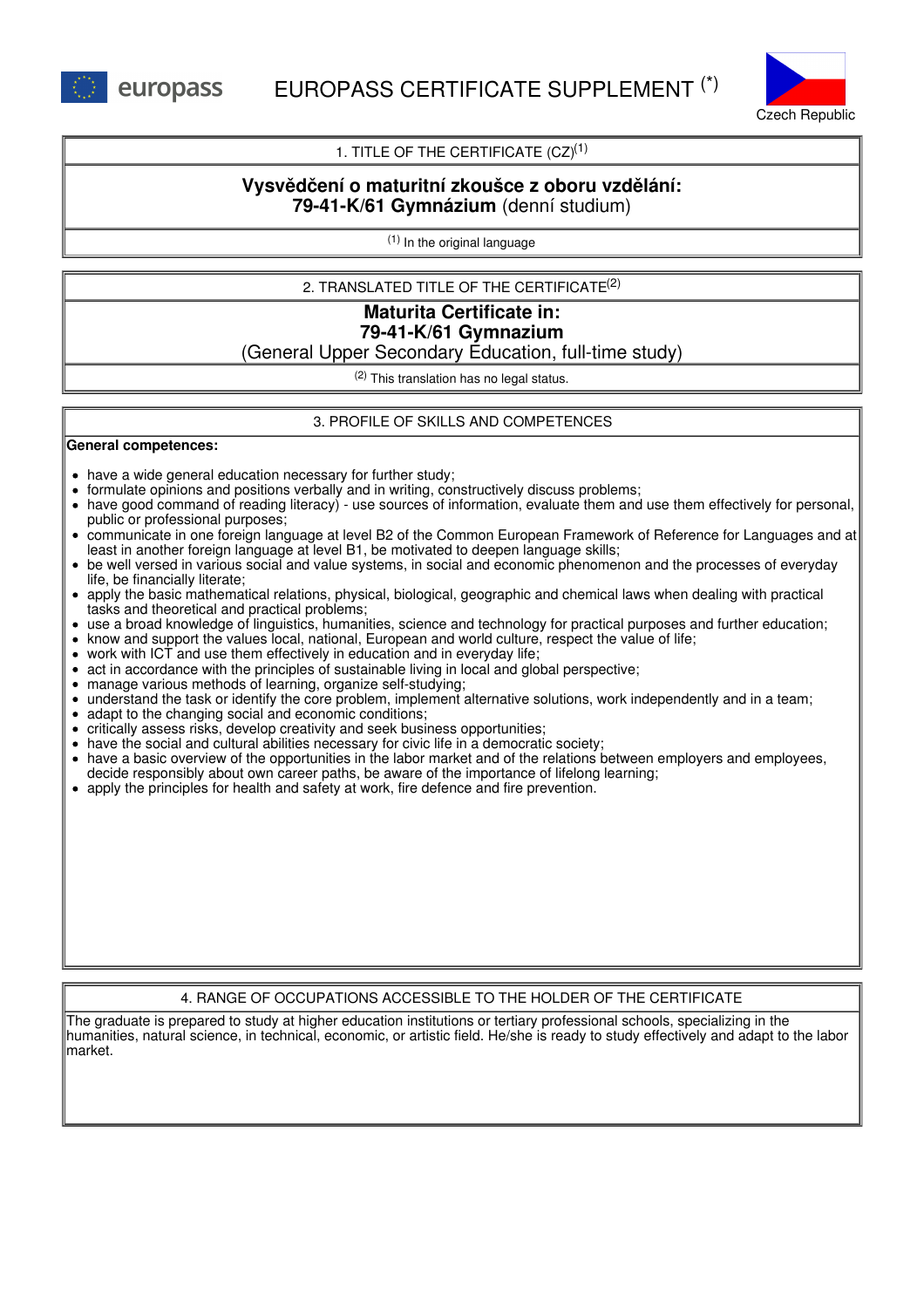

# 1. TITLE OF THE CERTIFICATE  $(CZ)^{(1)}$

# **Vysvědčení o maturitní zkoušce z oboru vzdělání: 79-41-K/61 Gymnázium** (denní studium)

(1) In the original language

2. TRANSLATED TITLE OF THE CERTIFICATE (2)

# **Maturita Certificate in: 79-41-K/61 Gymnazium**

(General Upper Secondary Education, full-time study)

(2) This translation has no legal status.

### 3. PROFILE OF SKILLS AND COMPETENCES

**General competences:**

- have a wide general education necessary for further study;
- formulate opinions and positions verbally and in writing, constructively discuss problems;
- have good command of reading literacy) use sources of information, evaluate them and use them effectively for personal, public or professional purposes;
- communicate in one foreign language at level B2 of the Common European Framework of Reference for Languages and at least in another foreign language at level B1, be motivated to deepen language skills;
- be well versed in various social and value systems, in social and economic phenomenon and the processes of everyday life, be financially literate;
- apply the basic mathematical relations, physical, biological, geographic and chemical laws when dealing with practical tasks and theoretical and practical problems;
- use a broad knowledge of linguistics, humanities, science and technology for practical purposes and further education;
- know and support the values local, national, European and world culture, respect the value of life;
- work with ICT and use them effectively in education and in everyday life;
- act in accordance with the principles of sustainable living in local and global perspective;
- manage various methods of learning, organize self-studying;
- understand the task or identify the core problem, implement alternative solutions, work independently and in a team;
- adapt to the changing social and economic conditions;
- critically assess risks, develop creativity and seek business opportunities;
- have the social and cultural abilities necessary for civic life in a democratic society;
- have a basic overview of the opportunities in the labor market and of the relations between employers and employees, decide responsibly about own career paths, be aware of the importance of lifelong learning;
- apply the principles for health and safety at work, fire defence and fire prevention.

### 4. RANGE OF OCCUPATIONS ACCESSIBLE TO THE HOLDER OF THE CERTIFICATE

The graduate is prepared to study at higher education institutions or tertiary professional schools, specializing in the humanities, natural science, in technical, economic, or artistic field. He/she is ready to study effectively and adapt to the labor market.